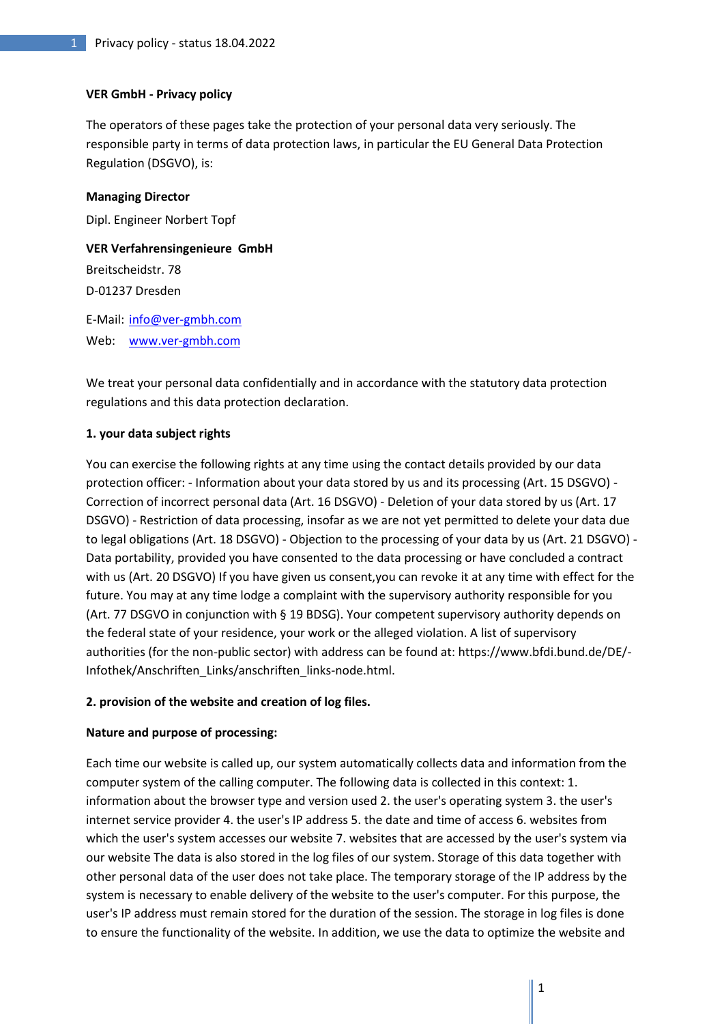## **VER GmbH - Privacy policy**

The operators of these pages take the protection of your personal data very seriously. The responsible party in terms of data protection laws, in particular the EU General Data Protection Regulation (DSGVO), is:

### **Managing Director**

Dipl. Engineer Norbert Topf

**VER Verfahrensingenieure GmbH** Breitscheidstr. 78 D-01237 Dresden E-Mail: [info@ver-gmbh.com](mailto:info@ver-gmbh.com)

Web: [www.ver-gmbh.com](http://www.ver-gmbh.com/)

We treat your personal data confidentially and in accordance with the statutory data protection regulations and this data protection declaration.

## **1. your data subject rights**

You can exercise the following rights at any time using the contact details provided by our data protection officer: - Information about your data stored by us and its processing (Art. 15 DSGVO) - Correction of incorrect personal data (Art. 16 DSGVO) - Deletion of your data stored by us (Art. 17 DSGVO) - Restriction of data processing, insofar as we are not yet permitted to delete your data due to legal obligations (Art. 18 DSGVO) - Objection to the processing of your data by us (Art. 21 DSGVO) - Data portability, provided you have consented to the data processing or have concluded a contract with us (Art. 20 DSGVO) If you have given us consent,you can revoke it at any time with effect for the future. You may at any time lodge a complaint with the supervisory authority responsible for you (Art. 77 DSGVO in conjunction with § 19 BDSG). Your competent supervisory authority depends on the federal state of your residence, your work or the alleged violation. A list of supervisory authorities (for the non-public sector) with address can be found at: https://www.bfdi.bund.de/DE/- Infothek/Anschriften\_Links/anschriften\_links-node.html.

# **2. provision of the website and creation of log files.**

# **Nature and purpose of processing:**

Each time our website is called up, our system automatically collects data and information from the computer system of the calling computer. The following data is collected in this context: 1. information about the browser type and version used 2. the user's operating system 3. the user's internet service provider 4. the user's IP address 5. the date and time of access 6. websites from which the user's system accesses our website 7. websites that are accessed by the user's system via our website The data is also stored in the log files of our system. Storage of this data together with other personal data of the user does not take place. The temporary storage of the IP address by the system is necessary to enable delivery of the website to the user's computer. For this purpose, the user's IP address must remain stored for the duration of the session. The storage in log files is done to ensure the functionality of the website. In addition, we use the data to optimize the website and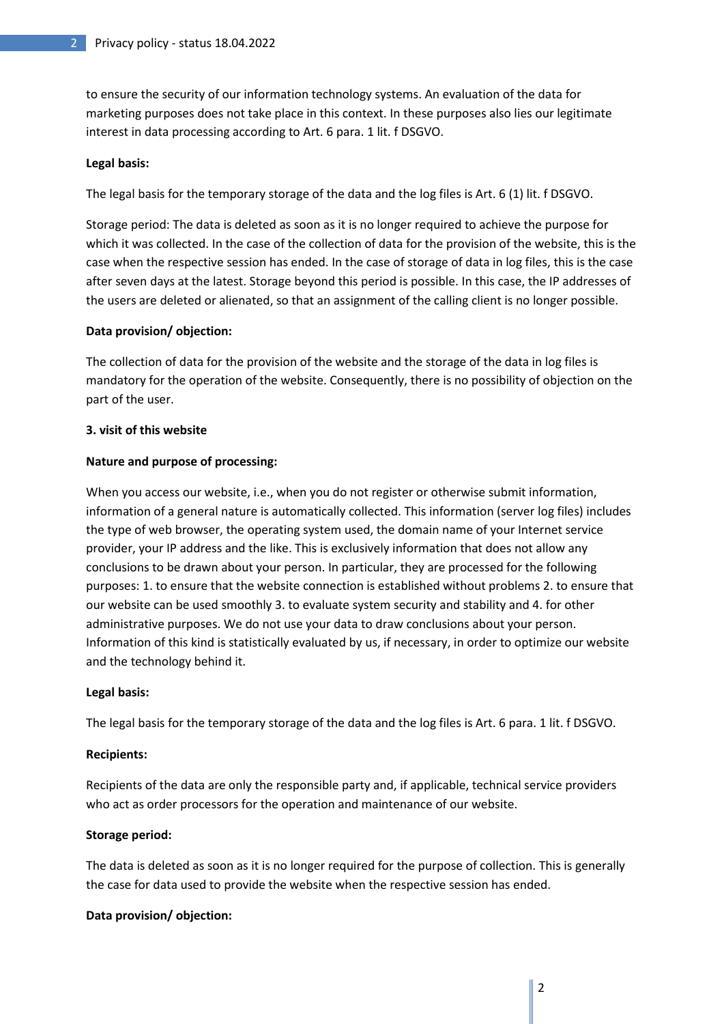to ensure the security of our information technology systems. An evaluation of the data for marketing purposes does not take place in this context. In these purposes also lies our legitimate interest in data processing according to Art. 6 para. 1 lit. f DSGVO.

### **Legal basis:**

The legal basis for the temporary storage of the data and the log files is Art. 6 (1) lit. f DSGVO.

Storage period: The data is deleted as soon as it is no longer required to achieve the purpose for which it was collected. In the case of the collection of data for the provision of the website, this is the case when the respective session has ended. In the case of storage of data in log files, this is the case after seven days at the latest. Storage beyond this period is possible. In this case, the IP addresses of the users are deleted or alienated, so that an assignment of the calling client is no longer possible.

### **Data provision/ objection:**

The collection of data for the provision of the website and the storage of the data in log files is mandatory for the operation of the website. Consequently, there is no possibility of objection on the part of the user.

### **3. visit of this website**

### **Nature and purpose of processing:**

When you access our website, i.e., when you do not register or otherwise submit information, information of a general nature is automatically collected. This information (server log files) includes the type of web browser, the operating system used, the domain name of your Internet service provider, your IP address and the like. This is exclusively information that does not allow any conclusions to be drawn about your person. In particular, they are processed for the following purposes: 1. to ensure that the website connection is established without problems 2. to ensure that our website can be used smoothly 3. to evaluate system security and stability and 4. for other administrative purposes. We do not use your data to draw conclusions about your person. Information of this kind is statistically evaluated by us, if necessary, in order to optimize our website and the technology behind it.

### **Legal basis:**

The legal basis for the temporary storage of the data and the log files is Art. 6 para. 1 lit. f DSGVO.

### **Recipients:**

Recipients of the data are only the responsible party and, if applicable, technical service providers who act as order processors for the operation and maintenance of our website.

### **Storage period:**

The data is deleted as soon as it is no longer required for the purpose of collection. This is generally the case for data used to provide the website when the respective session has ended.

# **Data provision/ objection:**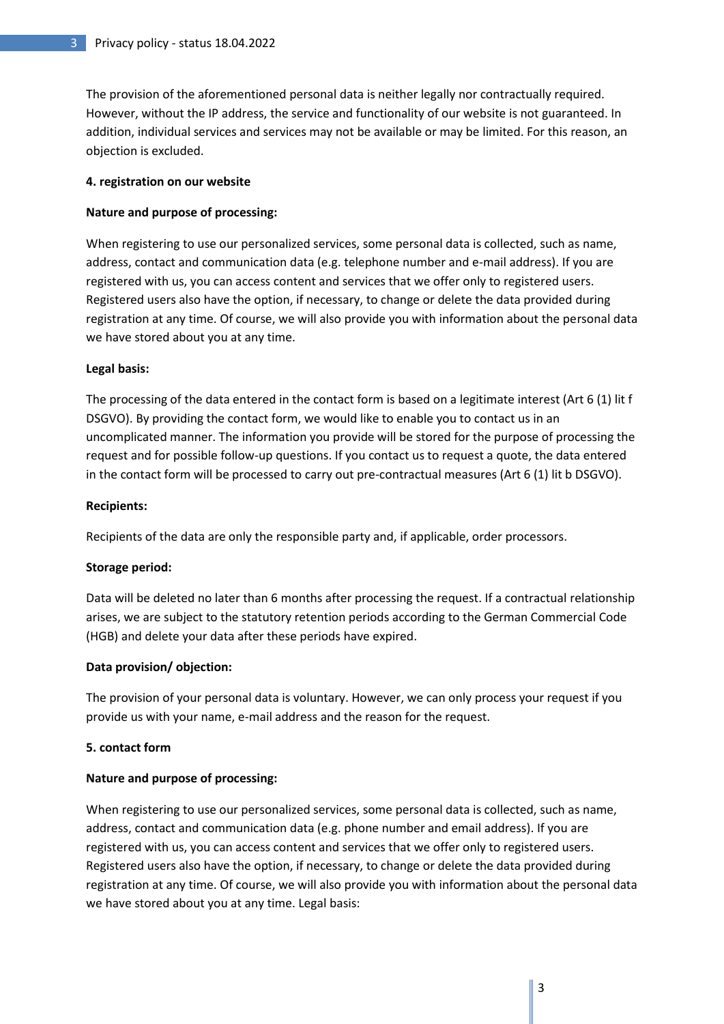The provision of the aforementioned personal data is neither legally nor contractually required. However, without the IP address, the service and functionality of our website is not guaranteed. In addition, individual services and services may not be available or may be limited. For this reason, an objection is excluded.

## **4. registration on our website**

# **Nature and purpose of processing:**

When registering to use our personalized services, some personal data is collected, such as name, address, contact and communication data (e.g. telephone number and e-mail address). If you are registered with us, you can access content and services that we offer only to registered users. Registered users also have the option, if necessary, to change or delete the data provided during registration at any time. Of course, we will also provide you with information about the personal data we have stored about you at any time.

## **Legal basis:**

The processing of the data entered in the contact form is based on a legitimate interest (Art 6 (1) lit f DSGVO). By providing the contact form, we would like to enable you to contact us in an uncomplicated manner. The information you provide will be stored for the purpose of processing the request and for possible follow-up questions. If you contact us to request a quote, the data entered in the contact form will be processed to carry out pre-contractual measures (Art 6 (1) lit b DSGVO).

## **Recipients:**

Recipients of the data are only the responsible party and, if applicable, order processors.

# **Storage period:**

Data will be deleted no later than 6 months after processing the request. If a contractual relationship arises, we are subject to the statutory retention periods according to the German Commercial Code (HGB) and delete your data after these periods have expired.

# **Data provision/ objection:**

The provision of your personal data is voluntary. However, we can only process your request if you provide us with your name, e-mail address and the reason for the request.

### **5. contact form**

# **Nature and purpose of processing:**

When registering to use our personalized services, some personal data is collected, such as name, address, contact and communication data (e.g. phone number and email address). If you are registered with us, you can access content and services that we offer only to registered users. Registered users also have the option, if necessary, to change or delete the data provided during registration at any time. Of course, we will also provide you with information about the personal data we have stored about you at any time. Legal basis: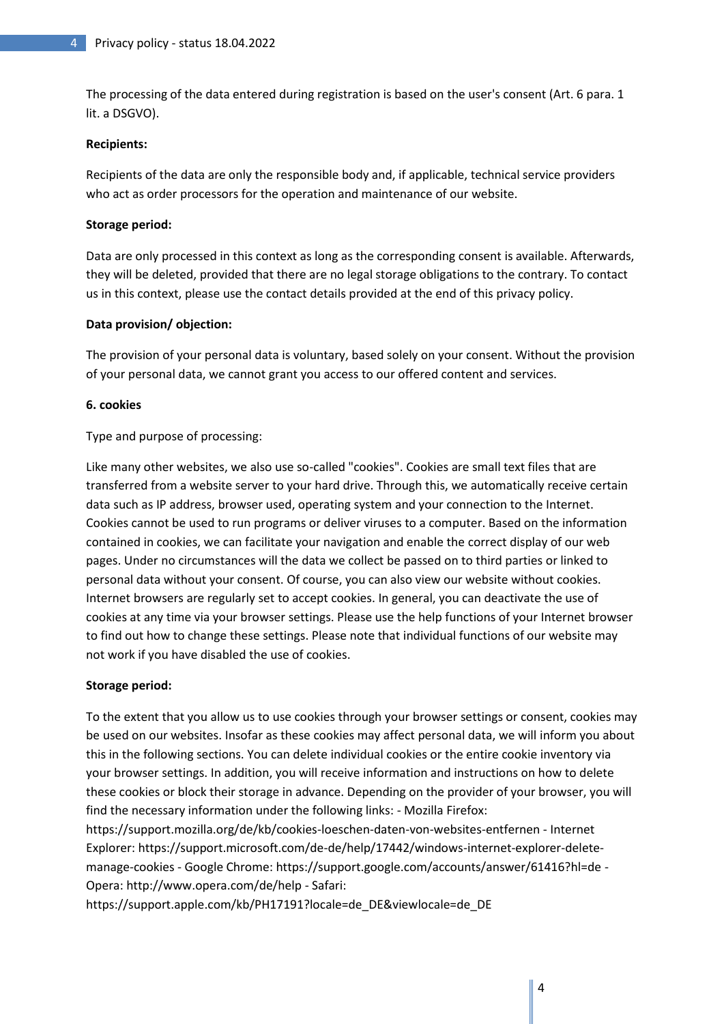The processing of the data entered during registration is based on the user's consent (Art. 6 para. 1 lit. a DSGVO).

## **Recipients:**

Recipients of the data are only the responsible body and, if applicable, technical service providers who act as order processors for the operation and maintenance of our website.

## **Storage period:**

Data are only processed in this context as long as the corresponding consent is available. Afterwards, they will be deleted, provided that there are no legal storage obligations to the contrary. To contact us in this context, please use the contact details provided at the end of this privacy policy.

## **Data provision/ objection:**

The provision of your personal data is voluntary, based solely on your consent. Without the provision of your personal data, we cannot grant you access to our offered content and services.

## **6. cookies**

Type and purpose of processing:

Like many other websites, we also use so-called "cookies". Cookies are small text files that are transferred from a website server to your hard drive. Through this, we automatically receive certain data such as IP address, browser used, operating system and your connection to the Internet. Cookies cannot be used to run programs or deliver viruses to a computer. Based on the information contained in cookies, we can facilitate your navigation and enable the correct display of our web pages. Under no circumstances will the data we collect be passed on to third parties or linked to personal data without your consent. Of course, you can also view our website without cookies. Internet browsers are regularly set to accept cookies. In general, you can deactivate the use of cookies at any time via your browser settings. Please use the help functions of your Internet browser to find out how to change these settings. Please note that individual functions of our website may not work if you have disabled the use of cookies.

### **Storage period:**

To the extent that you allow us to use cookies through your browser settings or consent, cookies may be used on our websites. Insofar as these cookies may affect personal data, we will inform you about this in the following sections. You can delete individual cookies or the entire cookie inventory via your browser settings. In addition, you will receive information and instructions on how to delete these cookies or block their storage in advance. Depending on the provider of your browser, you will find the necessary information under the following links: - Mozilla Firefox:

https://support.mozilla.org/de/kb/cookies-loeschen-daten-von-websites-entfernen - Internet Explorer: https://support.microsoft.com/de-de/help/17442/windows-internet-explorer-deletemanage-cookies - Google Chrome: https://support.google.com/accounts/answer/61416?hl=de - Opera: http://www.opera.com/de/help - Safari:

https://support.apple.com/kb/PH17191?locale=de\_DE&viewlocale=de\_DE

4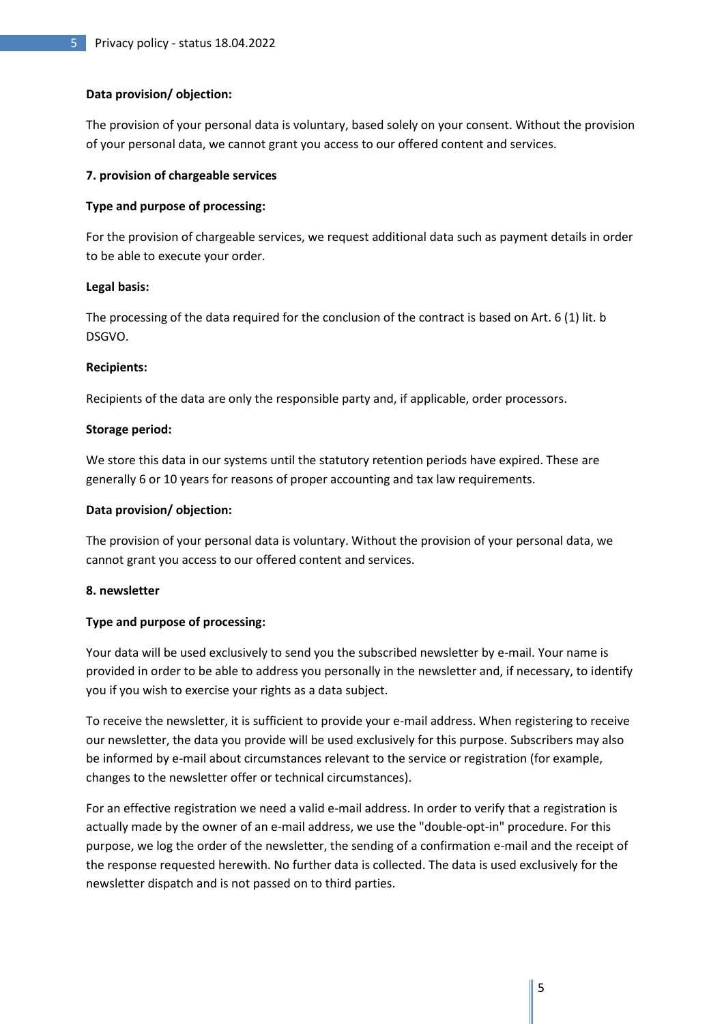## **Data provision/ objection:**

The provision of your personal data is voluntary, based solely on your consent. Without the provision of your personal data, we cannot grant you access to our offered content and services.

## **7. provision of chargeable services**

## **Type and purpose of processing:**

For the provision of chargeable services, we request additional data such as payment details in order to be able to execute your order.

### **Legal basis:**

The processing of the data required for the conclusion of the contract is based on Art. 6 (1) lit. b DSGVO.

## **Recipients:**

Recipients of the data are only the responsible party and, if applicable, order processors.

## **Storage period:**

We store this data in our systems until the statutory retention periods have expired. These are generally 6 or 10 years for reasons of proper accounting and tax law requirements.

# **Data provision/ objection:**

The provision of your personal data is voluntary. Without the provision of your personal data, we cannot grant you access to our offered content and services.

### **8. newsletter**

# **Type and purpose of processing:**

Your data will be used exclusively to send you the subscribed newsletter by e-mail. Your name is provided in order to be able to address you personally in the newsletter and, if necessary, to identify you if you wish to exercise your rights as a data subject.

To receive the newsletter, it is sufficient to provide your e-mail address. When registering to receive our newsletter, the data you provide will be used exclusively for this purpose. Subscribers may also be informed by e-mail about circumstances relevant to the service or registration (for example, changes to the newsletter offer or technical circumstances).

For an effective registration we need a valid e-mail address. In order to verify that a registration is actually made by the owner of an e-mail address, we use the "double-opt-in" procedure. For this purpose, we log the order of the newsletter, the sending of a confirmation e-mail and the receipt of the response requested herewith. No further data is collected. The data is used exclusively for the newsletter dispatch and is not passed on to third parties.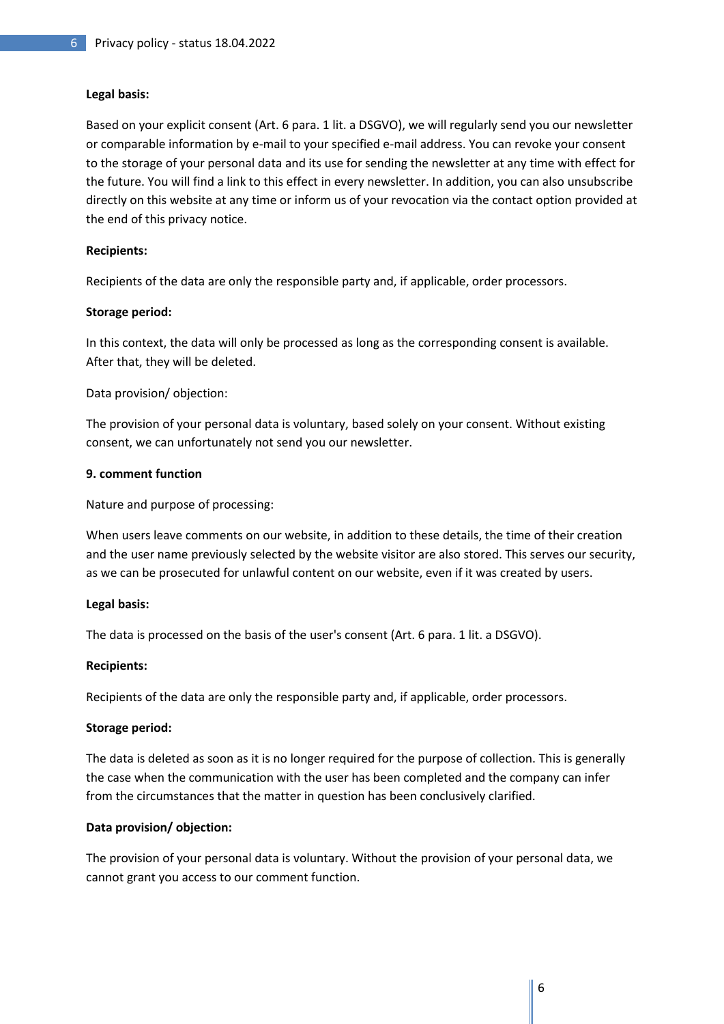## **Legal basis:**

Based on your explicit consent (Art. 6 para. 1 lit. a DSGVO), we will regularly send you our newsletter or comparable information by e-mail to your specified e-mail address. You can revoke your consent to the storage of your personal data and its use for sending the newsletter at any time with effect for the future. You will find a link to this effect in every newsletter. In addition, you can also unsubscribe directly on this website at any time or inform us of your revocation via the contact option provided at the end of this privacy notice.

## **Recipients:**

Recipients of the data are only the responsible party and, if applicable, order processors.

## **Storage period:**

In this context, the data will only be processed as long as the corresponding consent is available. After that, they will be deleted.

Data provision/ objection:

The provision of your personal data is voluntary, based solely on your consent. Without existing consent, we can unfortunately not send you our newsletter.

### **9. comment function**

Nature and purpose of processing:

When users leave comments on our website, in addition to these details, the time of their creation and the user name previously selected by the website visitor are also stored. This serves our security, as we can be prosecuted for unlawful content on our website, even if it was created by users.

### **Legal basis:**

The data is processed on the basis of the user's consent (Art. 6 para. 1 lit. a DSGVO).

### **Recipients:**

Recipients of the data are only the responsible party and, if applicable, order processors.

### **Storage period:**

The data is deleted as soon as it is no longer required for the purpose of collection. This is generally the case when the communication with the user has been completed and the company can infer from the circumstances that the matter in question has been conclusively clarified.

# **Data provision/ objection:**

The provision of your personal data is voluntary. Without the provision of your personal data, we cannot grant you access to our comment function.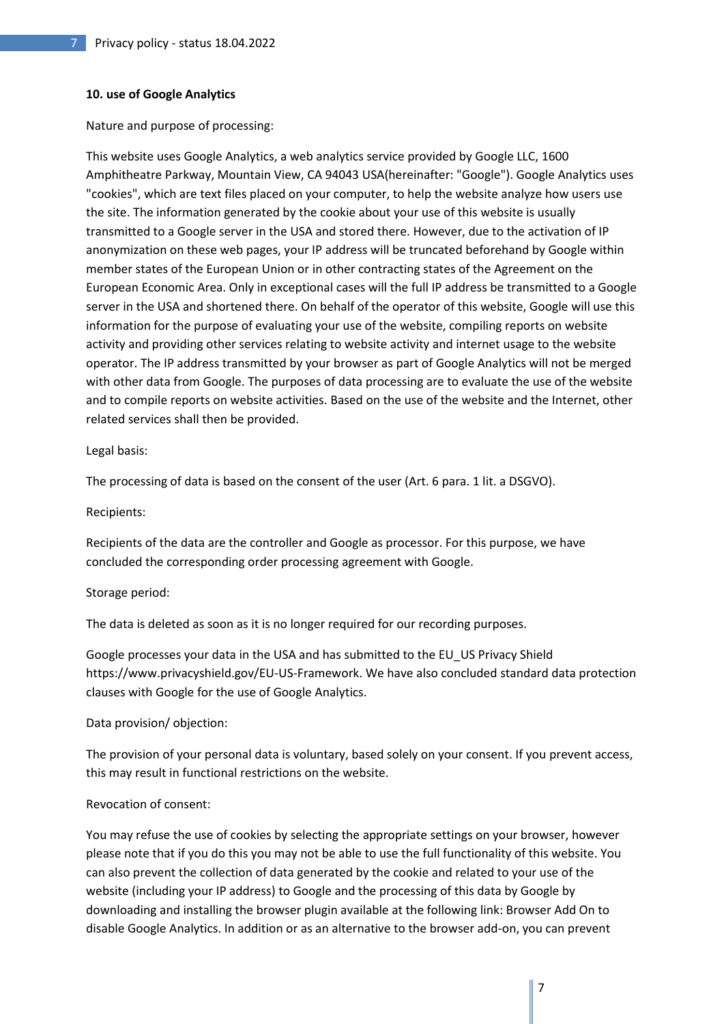### **10. use of Google Analytics**

Nature and purpose of processing:

This website uses Google Analytics, a web analytics service provided by Google LLC, 1600 Amphitheatre Parkway, Mountain View, CA 94043 USA(hereinafter: "Google"). Google Analytics uses "cookies", which are text files placed on your computer, to help the website analyze how users use the site. The information generated by the cookie about your use of this website is usually transmitted to a Google server in the USA and stored there. However, due to the activation of IP anonymization on these web pages, your IP address will be truncated beforehand by Google within member states of the European Union or in other contracting states of the Agreement on the European Economic Area. Only in exceptional cases will the full IP address be transmitted to a Google server in the USA and shortened there. On behalf of the operator of this website, Google will use this information for the purpose of evaluating your use of the website, compiling reports on website activity and providing other services relating to website activity and internet usage to the website operator. The IP address transmitted by your browser as part of Google Analytics will not be merged with other data from Google. The purposes of data processing are to evaluate the use of the website and to compile reports on website activities. Based on the use of the website and the Internet, other related services shall then be provided.

#### Legal basis:

The processing of data is based on the consent of the user (Art. 6 para. 1 lit. a DSGVO).

#### Recipients:

Recipients of the data are the controller and Google as processor. For this purpose, we have concluded the corresponding order processing agreement with Google.

#### Storage period:

The data is deleted as soon as it is no longer required for our recording purposes.

Google processes your data in the USA and has submitted to the EU\_US Privacy Shield https://www.privacyshield.gov/EU-US-Framework. We have also concluded standard data protection clauses with Google for the use of Google Analytics.

### Data provision/ objection:

The provision of your personal data is voluntary, based solely on your consent. If you prevent access, this may result in functional restrictions on the website.

### Revocation of consent:

You may refuse the use of cookies by selecting the appropriate settings on your browser, however please note that if you do this you may not be able to use the full functionality of this website. You can also prevent the collection of data generated by the cookie and related to your use of the website (including your IP address) to Google and the processing of this data by Google by downloading and installing the browser plugin available at the following link: Browser Add On to disable Google Analytics. In addition or as an alternative to the browser add-on, you can prevent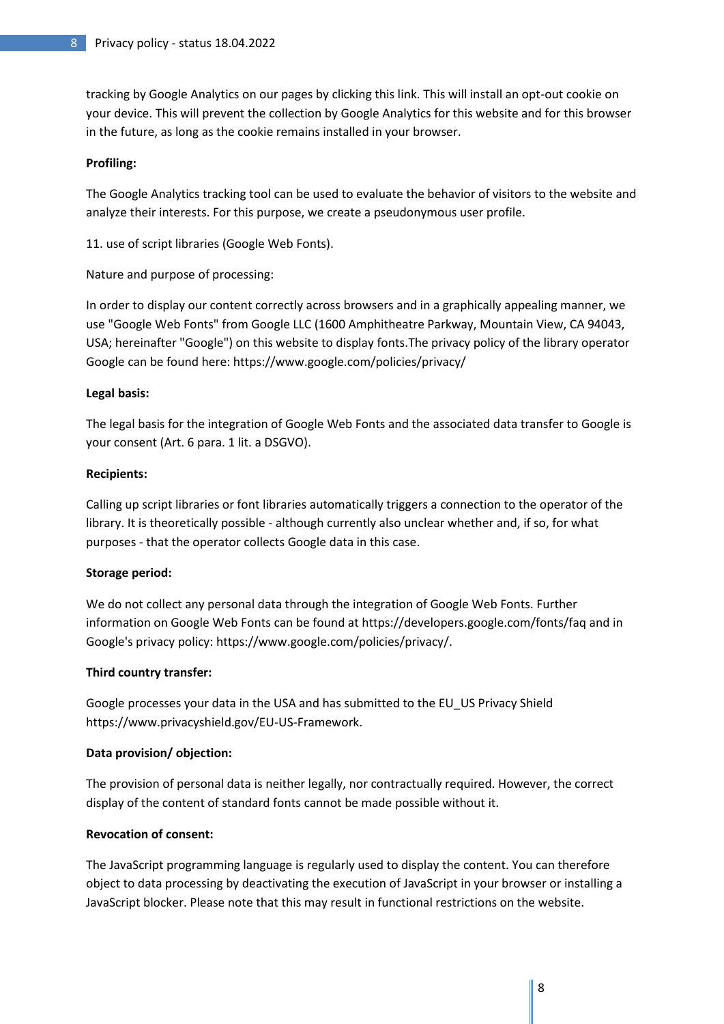tracking by Google Analytics on our pages by clicking this link. This will install an opt-out cookie on your device. This will prevent the collection by Google Analytics for this website and for this browser in the future, as long as the cookie remains installed in your browser.

## **Profiling:**

The Google Analytics tracking tool can be used to evaluate the behavior of visitors to the website and analyze their interests. For this purpose, we create a pseudonymous user profile.

11. use of script libraries (Google Web Fonts).

Nature and purpose of processing:

In order to display our content correctly across browsers and in a graphically appealing manner, we use "Google Web Fonts" from Google LLC (1600 Amphitheatre Parkway, Mountain View, CA 94043, USA; hereinafter "Google") on this website to display fonts.The privacy policy of the library operator Google can be found here: https://www.google.com/policies/privacy/

## **Legal basis:**

The legal basis for the integration of Google Web Fonts and the associated data transfer to Google is your consent (Art. 6 para. 1 lit. a DSGVO).

### **Recipients:**

Calling up script libraries or font libraries automatically triggers a connection to the operator of the library. It is theoretically possible - although currently also unclear whether and, if so, for what purposes - that the operator collects Google data in this case.

### **Storage period:**

We do not collect any personal data through the integration of Google Web Fonts. Further information on Google Web Fonts can be found at https://developers.google.com/fonts/faq and in Google's privacy policy: https://www.google.com/policies/privacy/.

### **Third country transfer:**

Google processes your data in the USA and has submitted to the EU\_US Privacy Shield https://www.privacyshield.gov/EU-US-Framework.

# **Data provision/ objection:**

The provision of personal data is neither legally, nor contractually required. However, the correct display of the content of standard fonts cannot be made possible without it.

# **Revocation of consent:**

The JavaScript programming language is regularly used to display the content. You can therefore object to data processing by deactivating the execution of JavaScript in your browser or installing a JavaScript blocker. Please note that this may result in functional restrictions on the website.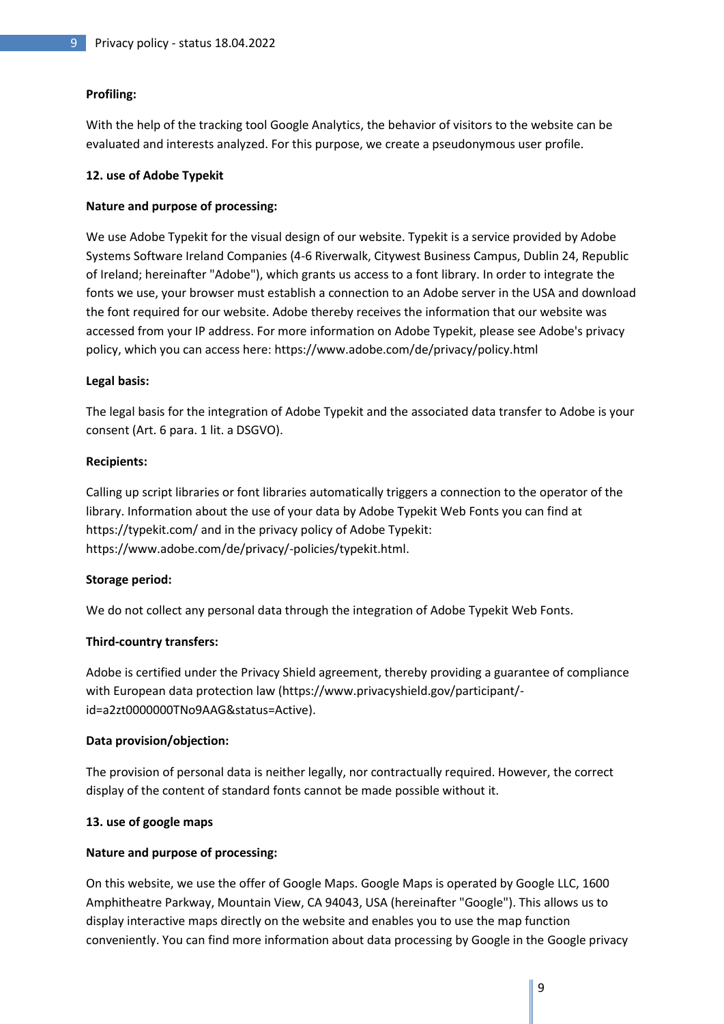# **Profiling:**

With the help of the tracking tool Google Analytics, the behavior of visitors to the website can be evaluated and interests analyzed. For this purpose, we create a pseudonymous user profile.

## **12. use of Adobe Typekit**

# **Nature and purpose of processing:**

We use Adobe Typekit for the visual design of our website. Typekit is a service provided by Adobe Systems Software Ireland Companies (4-6 Riverwalk, Citywest Business Campus, Dublin 24, Republic of Ireland; hereinafter "Adobe"), which grants us access to a font library. In order to integrate the fonts we use, your browser must establish a connection to an Adobe server in the USA and download the font required for our website. Adobe thereby receives the information that our website was accessed from your IP address. For more information on Adobe Typekit, please see Adobe's privacy policy, which you can access here: https://www.adobe.com/de/privacy/policy.html

## **Legal basis:**

The legal basis for the integration of Adobe Typekit and the associated data transfer to Adobe is your consent (Art. 6 para. 1 lit. a DSGVO).

## **Recipients:**

Calling up script libraries or font libraries automatically triggers a connection to the operator of the library. Information about the use of your data by Adobe Typekit Web Fonts you can find at https://typekit.com/ and in the privacy policy of Adobe Typekit: https://www.adobe.com/de/privacy/-policies/typekit.html.

# **Storage period:**

We do not collect any personal data through the integration of Adobe Typekit Web Fonts.

# **Third-country transfers:**

Adobe is certified under the Privacy Shield agreement, thereby providing a guarantee of compliance with European data protection law (https://www.privacyshield.gov/participant/ id=a2zt0000000TNo9AAG&status=Active).

### **Data provision/objection:**

The provision of personal data is neither legally, nor contractually required. However, the correct display of the content of standard fonts cannot be made possible without it.

# **13. use of google maps**

### **Nature and purpose of processing:**

On this website, we use the offer of Google Maps. Google Maps is operated by Google LLC, 1600 Amphitheatre Parkway, Mountain View, CA 94043, USA (hereinafter "Google"). This allows us to display interactive maps directly on the website and enables you to use the map function conveniently. You can find more information about data processing by Google in the Google privacy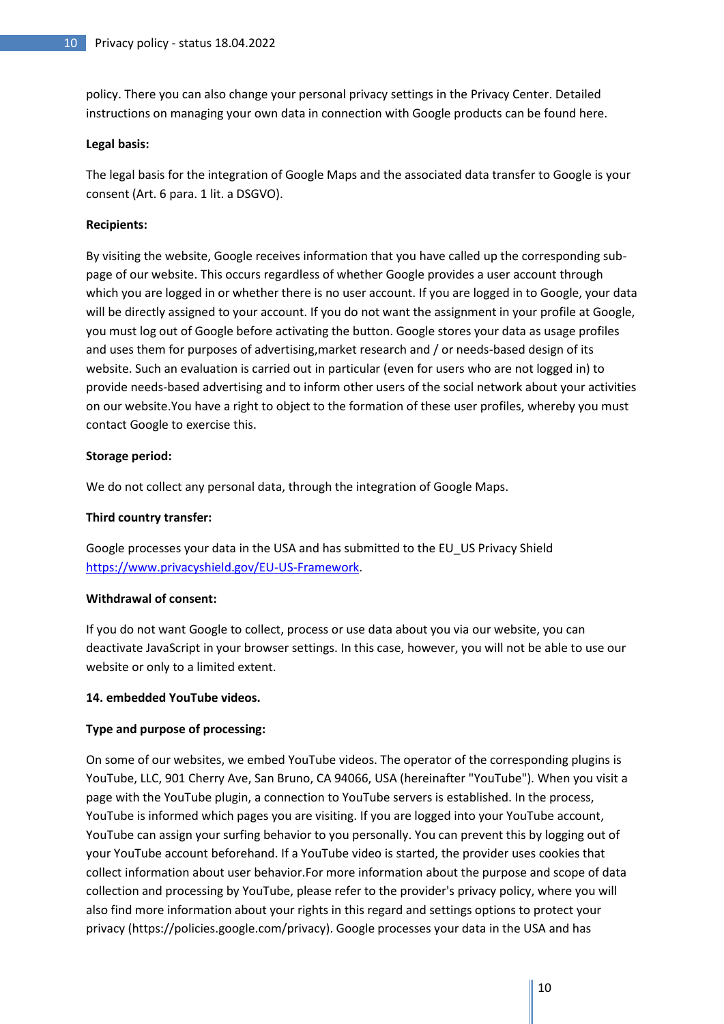policy. There you can also change your personal privacy settings in the Privacy Center. Detailed instructions on managing your own data in connection with Google products can be found here.

## **Legal basis:**

The legal basis for the integration of Google Maps and the associated data transfer to Google is your consent (Art. 6 para. 1 lit. a DSGVO).

# **Recipients:**

By visiting the website, Google receives information that you have called up the corresponding subpage of our website. This occurs regardless of whether Google provides a user account through which you are logged in or whether there is no user account. If you are logged in to Google, your data will be directly assigned to your account. If you do not want the assignment in your profile at Google, you must log out of Google before activating the button. Google stores your data as usage profiles and uses them for purposes of advertising,market research and / or needs-based design of its website. Such an evaluation is carried out in particular (even for users who are not logged in) to provide needs-based advertising and to inform other users of the social network about your activities on our website.You have a right to object to the formation of these user profiles, whereby you must contact Google to exercise this.

## **Storage period:**

We do not collect any personal data, through the integration of Google Maps.

# **Third country transfer:**

Google processes your data in the USA and has submitted to the EU\_US Privacy Shield [https://www.privacyshield.gov/EU-US-Framework.](https://www.privacyshield.gov/EU-US-Framework)

### **Withdrawal of consent:**

If you do not want Google to collect, process or use data about you via our website, you can deactivate JavaScript in your browser settings. In this case, however, you will not be able to use our website or only to a limited extent.

# **14. embedded YouTube videos.**

# **Type and purpose of processing:**

On some of our websites, we embed YouTube videos. The operator of the corresponding plugins is YouTube, LLC, 901 Cherry Ave, San Bruno, CA 94066, USA (hereinafter "YouTube"). When you visit a page with the YouTube plugin, a connection to YouTube servers is established. In the process, YouTube is informed which pages you are visiting. If you are logged into your YouTube account, YouTube can assign your surfing behavior to you personally. You can prevent this by logging out of your YouTube account beforehand. If a YouTube video is started, the provider uses cookies that collect information about user behavior.For more information about the purpose and scope of data collection and processing by YouTube, please refer to the provider's privacy policy, where you will also find more information about your rights in this regard and settings options to protect your privacy (https://policies.google.com/privacy). Google processes your data in the USA and has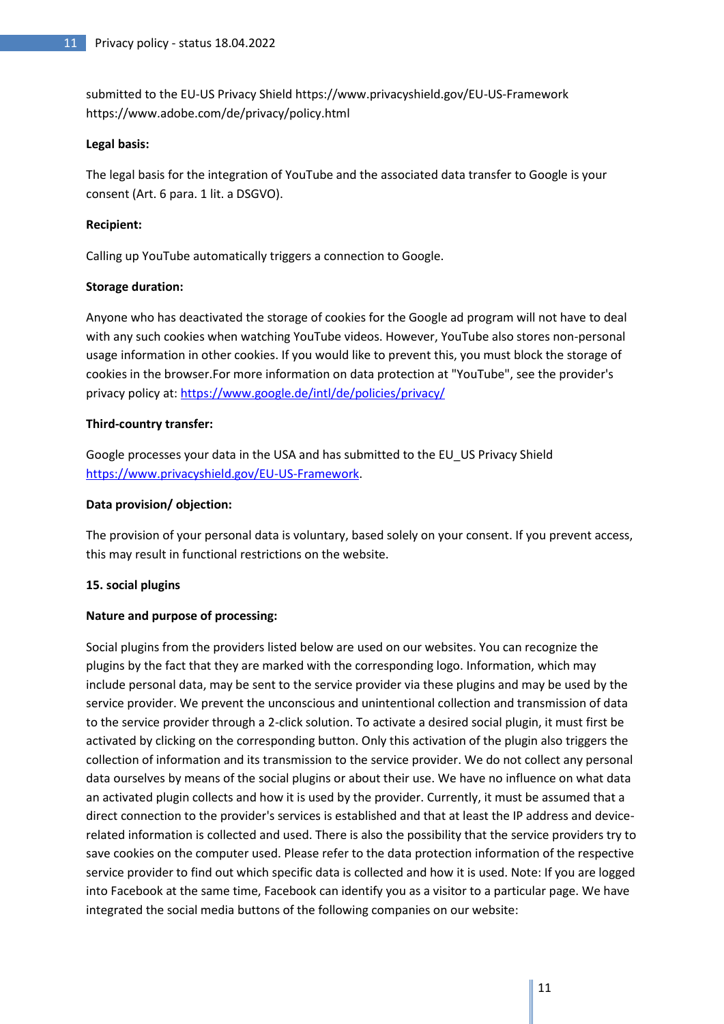submitted to the EU-US Privacy Shield https://www.privacyshield.gov/EU-US-Framework https://www.adobe.com/de/privacy/policy.html

## **Legal basis:**

The legal basis for the integration of YouTube and the associated data transfer to Google is your consent (Art. 6 para. 1 lit. a DSGVO).

# **Recipient:**

Calling up YouTube automatically triggers a connection to Google.

## **Storage duration:**

Anyone who has deactivated the storage of cookies for the Google ad program will not have to deal with any such cookies when watching YouTube videos. However, YouTube also stores non-personal usage information in other cookies. If you would like to prevent this, you must block the storage of cookies in the browser.For more information on data protection at "YouTube", see the provider's privacy policy at[: https://www.google.de/intl/de/policies/privacy/](https://www.google.de/intl/de/policies/privacy/)

# **Third-country transfer:**

Google processes your data in the USA and has submitted to the EU\_US Privacy Shield [https://www.privacyshield.gov/EU-US-Framework.](https://www.privacyshield.gov/EU-US-Framework)

## **Data provision/ objection:**

The provision of your personal data is voluntary, based solely on your consent. If you prevent access, this may result in functional restrictions on the website.

# **15. social plugins**

# **Nature and purpose of processing:**

Social plugins from the providers listed below are used on our websites. You can recognize the plugins by the fact that they are marked with the corresponding logo. Information, which may include personal data, may be sent to the service provider via these plugins and may be used by the service provider. We prevent the unconscious and unintentional collection and transmission of data to the service provider through a 2-click solution. To activate a desired social plugin, it must first be activated by clicking on the corresponding button. Only this activation of the plugin also triggers the collection of information and its transmission to the service provider. We do not collect any personal data ourselves by means of the social plugins or about their use. We have no influence on what data an activated plugin collects and how it is used by the provider. Currently, it must be assumed that a direct connection to the provider's services is established and that at least the IP address and devicerelated information is collected and used. There is also the possibility that the service providers try to save cookies on the computer used. Please refer to the data protection information of the respective service provider to find out which specific data is collected and how it is used. Note: If you are logged into Facebook at the same time, Facebook can identify you as a visitor to a particular page. We have integrated the social media buttons of the following companies on our website: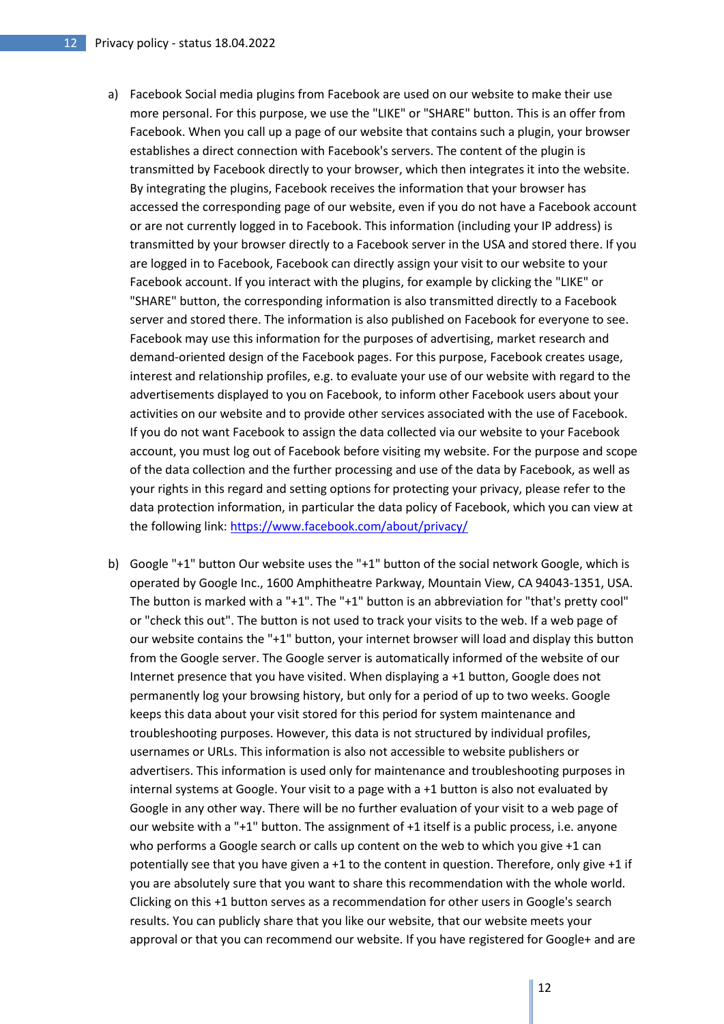- a) Facebook Social media plugins from Facebook are used on our website to make their use more personal. For this purpose, we use the "LIKE" or "SHARE" button. This is an offer from Facebook. When you call up a page of our website that contains such a plugin, your browser establishes a direct connection with Facebook's servers. The content of the plugin is transmitted by Facebook directly to your browser, which then integrates it into the website. By integrating the plugins, Facebook receives the information that your browser has accessed the corresponding page of our website, even if you do not have a Facebook account or are not currently logged in to Facebook. This information (including your IP address) is transmitted by your browser directly to a Facebook server in the USA and stored there. If you are logged in to Facebook, Facebook can directly assign your visit to our website to your Facebook account. If you interact with the plugins, for example by clicking the "LIKE" or "SHARE" button, the corresponding information is also transmitted directly to a Facebook server and stored there. The information is also published on Facebook for everyone to see. Facebook may use this information for the purposes of advertising, market research and demand-oriented design of the Facebook pages. For this purpose, Facebook creates usage, interest and relationship profiles, e.g. to evaluate your use of our website with regard to the advertisements displayed to you on Facebook, to inform other Facebook users about your activities on our website and to provide other services associated with the use of Facebook. If you do not want Facebook to assign the data collected via our website to your Facebook account, you must log out of Facebook before visiting my website. For the purpose and scope of the data collection and the further processing and use of the data by Facebook, as well as your rights in this regard and setting options for protecting your privacy, please refer to the data protection information, in particular the data policy of Facebook, which you can view at the following link:<https://www.facebook.com/about/privacy/>
- b) Google "+1" button Our website uses the "+1" button of the social network Google, which is operated by Google Inc., 1600 Amphitheatre Parkway, Mountain View, CA 94043-1351, USA. The button is marked with a "+1". The "+1" button is an abbreviation for "that's pretty cool" or "check this out". The button is not used to track your visits to the web. If a web page of our website contains the "+1" button, your internet browser will load and display this button from the Google server. The Google server is automatically informed of the website of our Internet presence that you have visited. When displaying a +1 button, Google does not permanently log your browsing history, but only for a period of up to two weeks. Google keeps this data about your visit stored for this period for system maintenance and troubleshooting purposes. However, this data is not structured by individual profiles, usernames or URLs. This information is also not accessible to website publishers or advertisers. This information is used only for maintenance and troubleshooting purposes in internal systems at Google. Your visit to a page with a +1 button is also not evaluated by Google in any other way. There will be no further evaluation of your visit to a web page of our website with a "+1" button. The assignment of +1 itself is a public process, i.e. anyone who performs a Google search or calls up content on the web to which you give +1 can potentially see that you have given a +1 to the content in question. Therefore, only give +1 if you are absolutely sure that you want to share this recommendation with the whole world. Clicking on this +1 button serves as a recommendation for other users in Google's search results. You can publicly share that you like our website, that our website meets your approval or that you can recommend our website. If you have registered for Google+ and are

12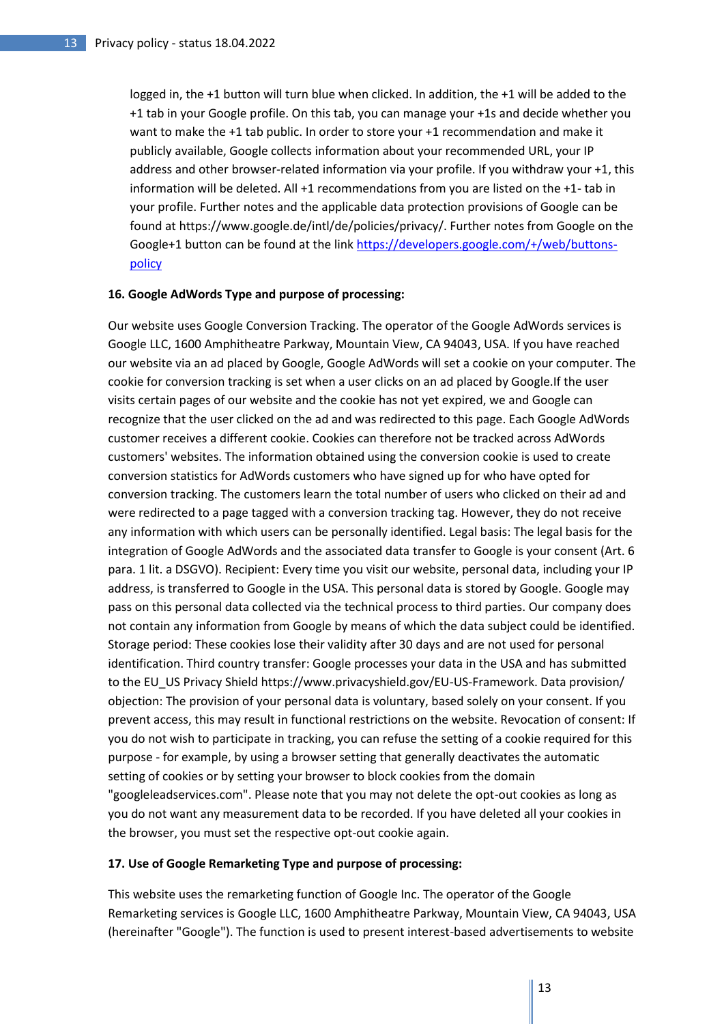logged in, the +1 button will turn blue when clicked. In addition, the +1 will be added to the +1 tab in your Google profile. On this tab, you can manage your +1s and decide whether you want to make the +1 tab public. In order to store your +1 recommendation and make it publicly available, Google collects information about your recommended URL, your IP address and other browser-related information via your profile. If you withdraw your +1, this information will be deleted. All +1 recommendations from you are listed on the +1- tab in your profile. Further notes and the applicable data protection provisions of Google can be found at https://www.google.de/intl/de/policies/privacy/. Further notes from Google on the Google+1 button can be found at the link [https://developers.google.com/+/web/buttons](https://developers.google.com/+/web/buttons-policy)[policy](https://developers.google.com/+/web/buttons-policy)

### **16. Google AdWords Type and purpose of processing:**

Our website uses Google Conversion Tracking. The operator of the Google AdWords services is Google LLC, 1600 Amphitheatre Parkway, Mountain View, CA 94043, USA. If you have reached our website via an ad placed by Google, Google AdWords will set a cookie on your computer. The cookie for conversion tracking is set when a user clicks on an ad placed by Google.If the user visits certain pages of our website and the cookie has not yet expired, we and Google can recognize that the user clicked on the ad and was redirected to this page. Each Google AdWords customer receives a different cookie. Cookies can therefore not be tracked across AdWords customers' websites. The information obtained using the conversion cookie is used to create conversion statistics for AdWords customers who have signed up for who have opted for conversion tracking. The customers learn the total number of users who clicked on their ad and were redirected to a page tagged with a conversion tracking tag. However, they do not receive any information with which users can be personally identified. Legal basis: The legal basis for the integration of Google AdWords and the associated data transfer to Google is your consent (Art. 6 para. 1 lit. a DSGVO). Recipient: Every time you visit our website, personal data, including your IP address, is transferred to Google in the USA. This personal data is stored by Google. Google may pass on this personal data collected via the technical process to third parties. Our company does not contain any information from Google by means of which the data subject could be identified. Storage period: These cookies lose their validity after 30 days and are not used for personal identification. Third country transfer: Google processes your data in the USA and has submitted to the EU\_US Privacy Shield https://www.privacyshield.gov/EU-US-Framework. Data provision/ objection: The provision of your personal data is voluntary, based solely on your consent. If you prevent access, this may result in functional restrictions on the website. Revocation of consent: If you do not wish to participate in tracking, you can refuse the setting of a cookie required for this purpose - for example, by using a browser setting that generally deactivates the automatic setting of cookies or by setting your browser to block cookies from the domain "googleleadservices.com". Please note that you may not delete the opt-out cookies as long as you do not want any measurement data to be recorded. If you have deleted all your cookies in the browser, you must set the respective opt-out cookie again.

## **17. Use of Google Remarketing Type and purpose of processing:**

This website uses the remarketing function of Google Inc. The operator of the Google Remarketing services is Google LLC, 1600 Amphitheatre Parkway, Mountain View, CA 94043, USA (hereinafter "Google"). The function is used to present interest-based advertisements to website